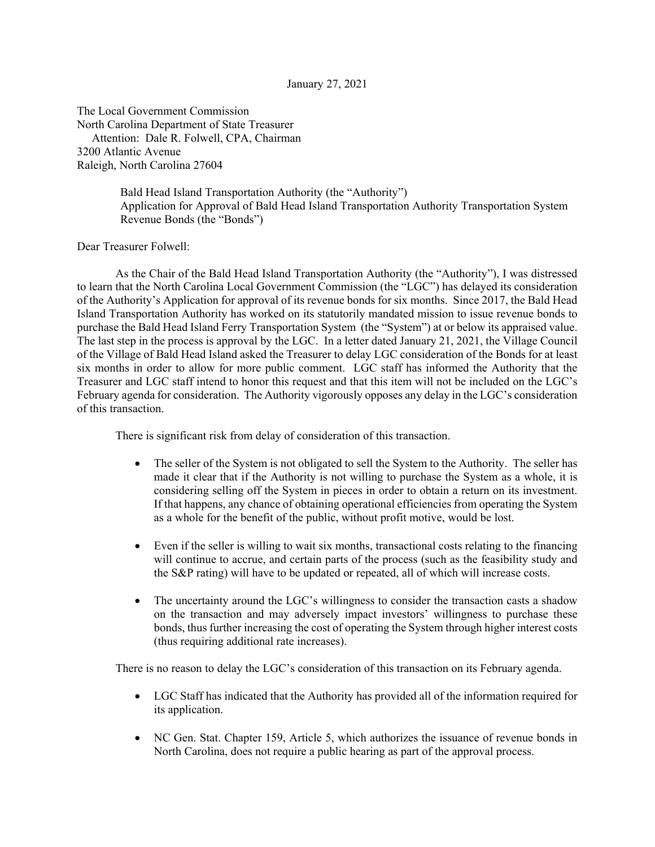## January 27, 2021

The Local Government Commission North Carolina Department of State Treasurer Attention: Dale R. Folwell, CPA, Chairman 3200 Atlantic Avenue Raleigh, North Carolina 27604

> Bald Head Island Transportation Authority (the "Authority") Application for Approval of Bald Head Island Transportation Authority Transportation System Revenue Bonds (the "Bonds")

Dear Treasurer Folwell:

 As the Chair of the Bald Head Island Transportation Authority (the "Authority"), I was distressed to learn that the North Carolina Local Government Commission (the "LGC") has delayed its consideration of the Authority's Application for approval of its revenue bonds for six months. Since 2017, the Bald Head Island Transportation Authority has worked on its statutorily mandated mission to issue revenue bonds to purchase the Bald Head Island Ferry Transportation System (the "System") at or below its appraised value. The last step in the process is approval by the LGC. In a letter dated January 21, 2021, the Village Council of the Village of Bald Head Island asked the Treasurer to delay LGC consideration of the Bonds for at least six months in order to allow for more public comment. LGC staff has informed the Authority that the Treasurer and LGC staff intend to honor this request and that this item will not be included on the LGC's February agenda for consideration. The Authority vigorously opposes any delay in the LGC's consideration of this transaction.

There is significant risk from delay of consideration of this transaction.

- The seller of the System is not obligated to sell the System to the Authority. The seller has made it clear that if the Authority is not willing to purchase the System as a whole, it is considering selling off the System in pieces in order to obtain a return on its investment. If that happens, any chance of obtaining operational efficiencies from operating the System as a whole for the benefit of the public, without profit motive, would be lost.
- Even if the seller is willing to wait six months, transactional costs relating to the financing will continue to accrue, and certain parts of the process (such as the feasibility study and the S&P rating) will have to be updated or repeated, all of which will increase costs.
- The uncertainty around the LGC's willingness to consider the transaction casts a shadow on the transaction and may adversely impact investors' willingness to purchase these bonds, thus further increasing the cost of operating the System through higher interest costs (thus requiring additional rate increases).

There is no reason to delay the LGC's consideration of this transaction on its February agenda.

- LGC Staff has indicated that the Authority has provided all of the information required for its application.
- NC Gen. Stat. Chapter 159, Article 5, which authorizes the issuance of revenue bonds in North Carolina, does not require a public hearing as part of the approval process.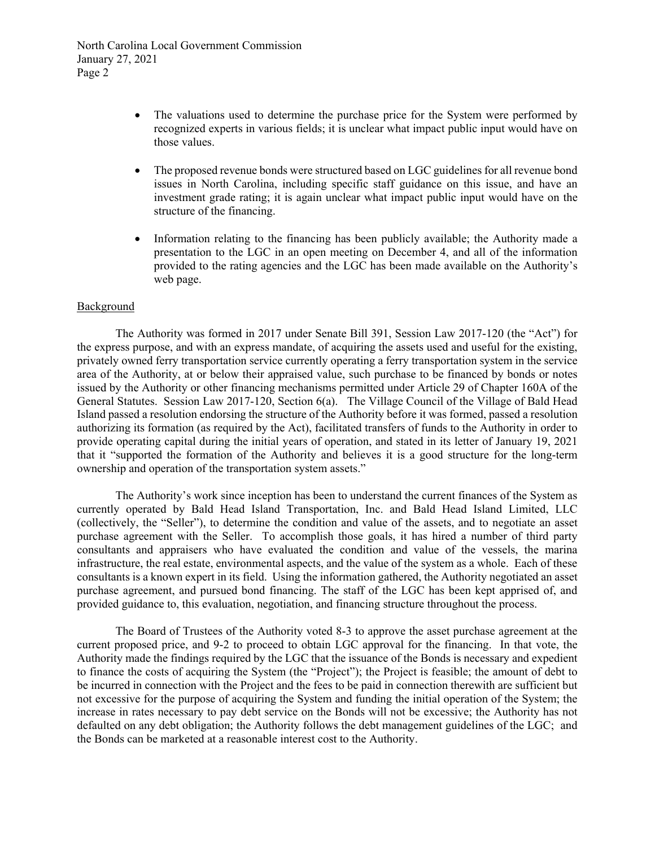North Carolina Local Government Commission January 27, 2021 Page 2

- The valuations used to determine the purchase price for the System were performed by recognized experts in various fields; it is unclear what impact public input would have on those values.
- The proposed revenue bonds were structured based on LGC guidelines for all revenue bond issues in North Carolina, including specific staff guidance on this issue, and have an investment grade rating; it is again unclear what impact public input would have on the structure of the financing.
- Information relating to the financing has been publicly available; the Authority made a presentation to the LGC in an open meeting on December 4, and all of the information provided to the rating agencies and the LGC has been made available on the Authority's web page.

## **Background**

The Authority was formed in 2017 under Senate Bill 391, Session Law 2017-120 (the "Act") for the express purpose, and with an express mandate, of acquiring the assets used and useful for the existing, privately owned ferry transportation service currently operating a ferry transportation system in the service area of the Authority, at or below their appraised value, such purchase to be financed by bonds or notes issued by the Authority or other financing mechanisms permitted under Article 29 of Chapter 160A of the General Statutes. Session Law 2017-120, Section 6(a). The Village Council of the Village of Bald Head Island passed a resolution endorsing the structure of the Authority before it was formed, passed a resolution authorizing its formation (as required by the Act), facilitated transfers of funds to the Authority in order to provide operating capital during the initial years of operation, and stated in its letter of January 19, 2021 that it "supported the formation of the Authority and believes it is a good structure for the long-term ownership and operation of the transportation system assets."

The Authority's work since inception has been to understand the current finances of the System as currently operated by Bald Head Island Transportation, Inc. and Bald Head Island Limited, LLC (collectively, the "Seller"), to determine the condition and value of the assets, and to negotiate an asset purchase agreement with the Seller. To accomplish those goals, it has hired a number of third party consultants and appraisers who have evaluated the condition and value of the vessels, the marina infrastructure, the real estate, environmental aspects, and the value of the system as a whole. Each of these consultants is a known expert in its field. Using the information gathered, the Authority negotiated an asset purchase agreement, and pursued bond financing. The staff of the LGC has been kept apprised of, and provided guidance to, this evaluation, negotiation, and financing structure throughout the process.

The Board of Trustees of the Authority voted 8-3 to approve the asset purchase agreement at the current proposed price, and 9-2 to proceed to obtain LGC approval for the financing. In that vote, the Authority made the findings required by the LGC that the issuance of the Bonds is necessary and expedient to finance the costs of acquiring the System (the "Project"); the Project is feasible; the amount of debt to be incurred in connection with the Project and the fees to be paid in connection therewith are sufficient but not excessive for the purpose of acquiring the System and funding the initial operation of the System; the increase in rates necessary to pay debt service on the Bonds will not be excessive; the Authority has not defaulted on any debt obligation; the Authority follows the debt management guidelines of the LGC; and the Bonds can be marketed at a reasonable interest cost to the Authority.